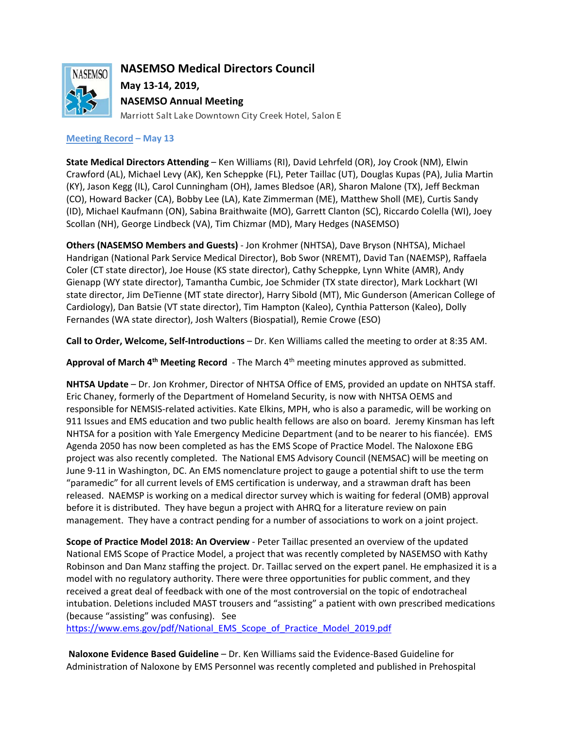

**NASEMSO Medical Directors Council**

**May 13-14, 2019, NASEMSO Annual Meeting**

Marriott Salt Lake Downtown City Creek Hotel, Salon E

# **Meeting Record – May 13**

**State Medical Directors Attending** – Ken Williams (RI), David Lehrfeld (OR), Joy Crook (NM), Elwin Crawford (AL), Michael Levy (AK), Ken Scheppke (FL), Peter Taillac (UT), Douglas Kupas (PA), Julia Martin (KY), Jason Kegg (IL), Carol Cunningham (OH), James Bledsoe (AR), Sharon Malone (TX), Jeff Beckman (CO), Howard Backer (CA), Bobby Lee (LA), Kate Zimmerman (ME), Matthew Sholl (ME), Curtis Sandy (ID), Michael Kaufmann (ON), Sabina Braithwaite (MO), Garrett Clanton (SC), Riccardo Colella (WI), Joey Scollan (NH), George Lindbeck (VA), Tim Chizmar (MD), Mary Hedges (NASEMSO)

**Others (NASEMSO Members and Guests)** - Jon Krohmer (NHTSA), Dave Bryson (NHTSA), Michael Handrigan (National Park Service Medical Director), Bob Swor (NREMT), David Tan (NAEMSP), Raffaela Coler (CT state director), Joe House (KS state director), Cathy Scheppke, Lynn White (AMR), Andy Gienapp (WY state director), Tamantha Cumbic, Joe Schmider (TX state director), Mark Lockhart (WI state director, Jim DeTienne (MT state director), Harry Sibold (MT), Mic Gunderson (American College of Cardiology), Dan Batsie (VT state director), Tim Hampton (Kaleo), Cynthia Patterson (Kaleo), Dolly Fernandes (WA state director), Josh Walters (Biospatial), Remie Crowe (ESO)

**Call to Order, Welcome, Self-Introductions** – Dr. Ken Williams called the meeting to order at 8:35 AM.

**Approval of March 4th Meeting Record** - The March 4th meeting minutes approved as submitted.

**NHTSA Update** – Dr. Jon Krohmer, Director of NHTSA Office of EMS, provided an update on NHTSA staff. Eric Chaney, formerly of the Department of Homeland Security, is now with NHTSA OEMS and responsible for NEMSIS-related activities. Kate Elkins, MPH, who is also a paramedic, will be working on 911 Issues and EMS education and two public health fellows are also on board. Jeremy Kinsman has left NHTSA for a position with Yale Emergency Medicine Department (and to be nearer to his fiancée). EMS Agenda 2050 has now been completed as has the EMS Scope of Practice Model. The Naloxone EBG project was also recently completed. The National EMS Advisory Council (NEMSAC) will be meeting on June 9-11 in Washington, DC. An EMS nomenclature project to gauge a potential shift to use the term "paramedic" for all current levels of EMS certification is underway, and a strawman draft has been released. NAEMSP is working on a medical director survey which is waiting for federal (OMB) approval before it is distributed. They have begun a project with AHRQ for a literature review on pain management. They have a contract pending for a number of associations to work on a joint project.

**Scope of Practice Model 2018: An Overview** - Peter Taillac presented an overview of the updated National EMS Scope of Practice Model, a project that was recently completed by NASEMSO with Kathy Robinson and Dan Manz staffing the project. Dr. Taillac served on the expert panel. He emphasized it is a model with no regulatory authority. There were three opportunities for public comment, and they received a great deal of feedback with one of the most controversial on the topic of endotracheal intubation. Deletions included MAST trousers and "assisting" a patient with own prescribed medications (because "assisting" was confusing). See

[https://www.ems.gov/pdf/National\\_EMS\\_Scope\\_of\\_Practice\\_Model\\_2019.pdf](https://www.ems.gov/pdf/National_EMS_Scope_of_Practice_Model_2019.pdf)

**Naloxone Evidence Based Guideline** – Dr. Ken Williams said the Evidence-Based Guideline for Administration of Naloxone by EMS Personnel was recently completed and published in Prehospital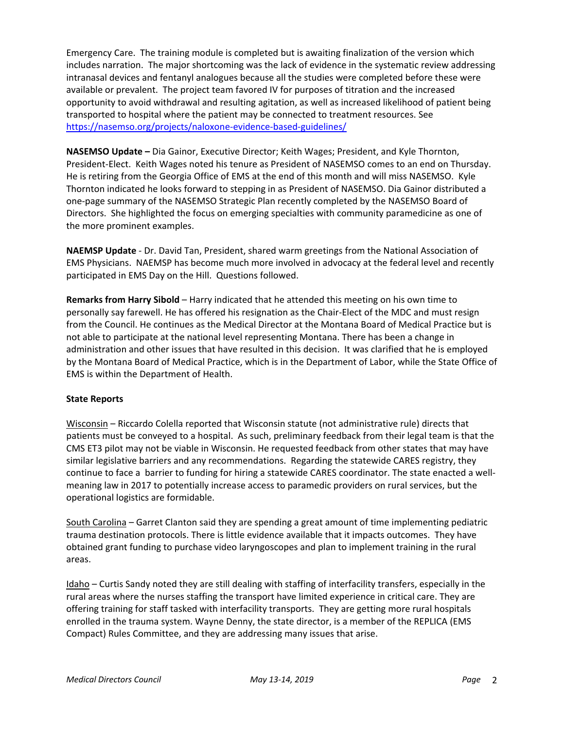Emergency Care. The training module is completed but is awaiting finalization of the version which includes narration. The major shortcoming was the lack of evidence in the systematic review addressing intranasal devices and fentanyl analogues because all the studies were completed before these were available or prevalent. The project team favored IV for purposes of titration and the increased opportunity to avoid withdrawal and resulting agitation, as well as increased likelihood of patient being transported to hospital where the patient may be connected to treatment resources. See <https://nasemso.org/projects/naloxone-evidence-based-guidelines/>

**NASEMSO Update –** Dia Gainor, Executive Director; Keith Wages; President, and Kyle Thornton, President-Elect. Keith Wages noted his tenure as President of NASEMSO comes to an end on Thursday. He is retiring from the Georgia Office of EMS at the end of this month and will miss NASEMSO. Kyle Thornton indicated he looks forward to stepping in as President of NASEMSO. Dia Gainor distributed a one-page summary of the NASEMSO Strategic Plan recently completed by the NASEMSO Board of Directors. She highlighted the focus on emerging specialties with community paramedicine as one of the more prominent examples.

**NAEMSP Update** - Dr. David Tan, President, shared warm greetings from the National Association of EMS Physicians. NAEMSP has become much more involved in advocacy at the federal level and recently participated in EMS Day on the Hill. Questions followed.

**Remarks from Harry Sibold** – Harry indicated that he attended this meeting on his own time to personally say farewell. He has offered his resignation as the Chair-Elect of the MDC and must resign from the Council. He continues as the Medical Director at the Montana Board of Medical Practice but is not able to participate at the national level representing Montana. There has been a change in administration and other issues that have resulted in this decision. It was clarified that he is employed by the Montana Board of Medical Practice, which is in the Department of Labor, while the State Office of EMS is within the Department of Health.

## **State Reports**

Wisconsin – Riccardo Colella reported that Wisconsin statute (not administrative rule) directs that patients must be conveyed to a hospital. As such, preliminary feedback from their legal team is that the CMS ET3 pilot may not be viable in Wisconsin. He requested feedback from other states that may have similar legislative barriers and any recommendations. Regarding the statewide CARES registry, they continue to face a barrier to funding for hiring a statewide CARES coordinator. The state enacted a wellmeaning law in 2017 to potentially increase access to paramedic providers on rural services, but the operational logistics are formidable.

South Carolina – Garret Clanton said they are spending a great amount of time implementing pediatric trauma destination protocols. There is little evidence available that it impacts outcomes. They have obtained grant funding to purchase video laryngoscopes and plan to implement training in the rural areas.

Idaho – Curtis Sandy noted they are still dealing with staffing of interfacility transfers, especially in the rural areas where the nurses staffing the transport have limited experience in critical care. They are offering training for staff tasked with interfacility transports. They are getting more rural hospitals enrolled in the trauma system. Wayne Denny, the state director, is a member of the REPLICA (EMS Compact) Rules Committee, and they are addressing many issues that arise.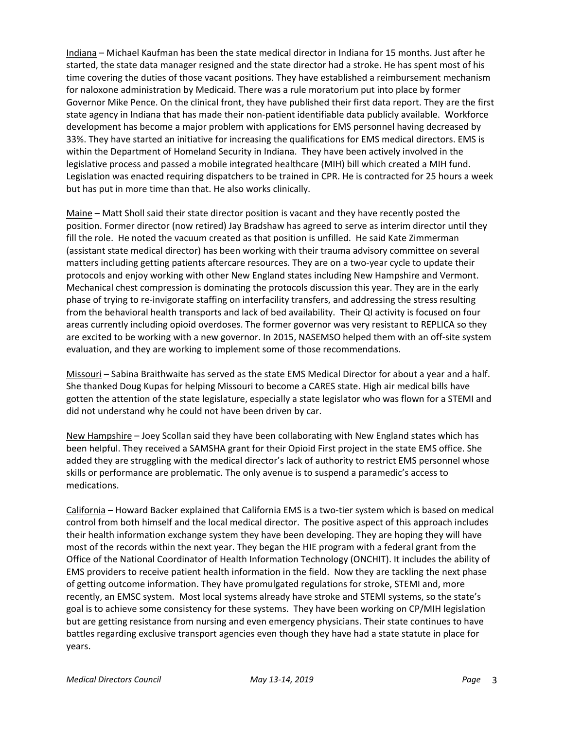Indiana – Michael Kaufman has been the state medical director in Indiana for 15 months. Just after he started, the state data manager resigned and the state director had a stroke. He has spent most of his time covering the duties of those vacant positions. They have established a reimbursement mechanism for naloxone administration by Medicaid. There was a rule moratorium put into place by former Governor Mike Pence. On the clinical front, they have published their first data report. They are the first state agency in Indiana that has made their non-patient identifiable data publicly available. Workforce development has become a major problem with applications for EMS personnel having decreased by 33%. They have started an initiative for increasing the qualifications for EMS medical directors. EMS is within the Department of Homeland Security in Indiana. They have been actively involved in the legislative process and passed a mobile integrated healthcare (MIH) bill which created a MIH fund. Legislation was enacted requiring dispatchers to be trained in CPR. He is contracted for 25 hours a week but has put in more time than that. He also works clinically.

Maine – Matt Sholl said their state director position is vacant and they have recently posted the position. Former director (now retired) Jay Bradshaw has agreed to serve as interim director until they fill the role. He noted the vacuum created as that position is unfilled. He said Kate Zimmerman (assistant state medical director) has been working with their trauma advisory committee on several matters including getting patients aftercare resources. They are on a two-year cycle to update their protocols and enjoy working with other New England states including New Hampshire and Vermont. Mechanical chest compression is dominating the protocols discussion this year. They are in the early phase of trying to re-invigorate staffing on interfacility transfers, and addressing the stress resulting from the behavioral health transports and lack of bed availability. Their QI activity is focused on four areas currently including opioid overdoses. The former governor was very resistant to REPLICA so they are excited to be working with a new governor. In 2015, NASEMSO helped them with an off-site system evaluation, and they are working to implement some of those recommendations.

Missouri – Sabina Braithwaite has served as the state EMS Medical Director for about a year and a half. She thanked Doug Kupas for helping Missouri to become a CARES state. High air medical bills have gotten the attention of the state legislature, especially a state legislator who was flown for a STEMI and did not understand why he could not have been driven by car.

New Hampshire – Joey Scollan said they have been collaborating with New England states which has been helpful. They received a SAMSHA grant for their Opioid First project in the state EMS office. She added they are struggling with the medical director's lack of authority to restrict EMS personnel whose skills or performance are problematic. The only avenue is to suspend a paramedic's access to medications.

California – Howard Backer explained that California EMS is a two-tier system which is based on medical control from both himself and the local medical director. The positive aspect of this approach includes their health information exchange system they have been developing. They are hoping they will have most of the records within the next year. They began the HIE program with a federal grant from the Office of the National Coordinator of Health Information Technology (ONCHIT). It includes the ability of EMS providers to receive patient health information in the field. Now they are tackling the next phase of getting outcome information. They have promulgated regulations for stroke, STEMI and, more recently, an EMSC system. Most local systems already have stroke and STEMI systems, so the state's goal is to achieve some consistency for these systems. They have been working on CP/MIH legislation but are getting resistance from nursing and even emergency physicians. Their state continues to have battles regarding exclusive transport agencies even though they have had a state statute in place for years.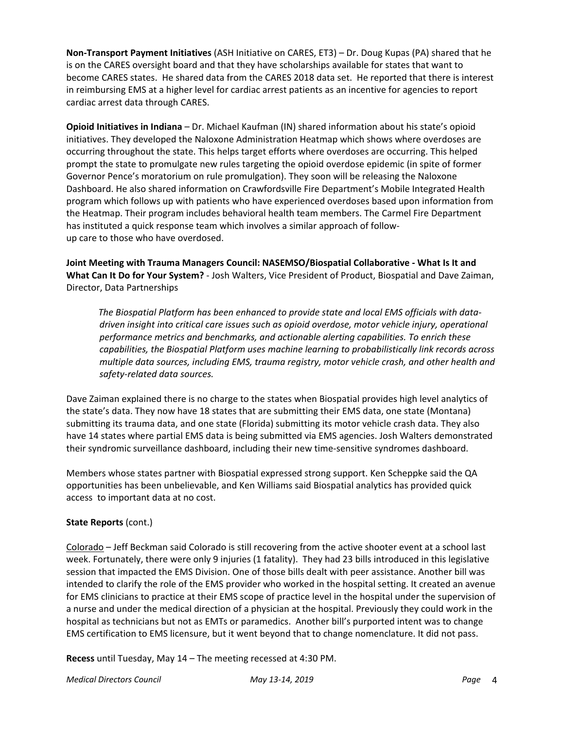**Non-Transport Payment Initiatives** (ASH Initiative on CARES, ET3) – Dr. Doug Kupas (PA) shared that he is on the CARES oversight board and that they have scholarships available for states that want to become CARES states. He shared data from the CARES 2018 data set. He reported that there is interest in reimbursing EMS at a higher level for cardiac arrest patients as an incentive for agencies to report cardiac arrest data through CARES.

**Opioid Initiatives in Indiana** – Dr. Michael Kaufman (IN) shared information about his state's opioid initiatives. They developed the Naloxone Administration Heatmap which shows where overdoses are occurring throughout the state. This helps target efforts where overdoses are occurring. This helped prompt the state to promulgate new rules targeting the opioid overdose epidemic (in spite of former Governor Pence's moratorium on rule promulgation). They soon will be releasing the Naloxone Dashboard. He also shared information on Crawfordsville Fire Department's Mobile Integrated Health program which follows up with patients who have experienced overdoses based upon information from the Heatmap. Their program includes behavioral health team members. The Carmel Fire Department has instituted a quick response team which involves a similar approach of followup care to those who have overdosed.

**Joint Meeting with Trauma Managers Council: NASEMSO/Biospatial Collaborative - What Is It and What Can It Do for Your System?** - Josh Walters, Vice President of Product, Biospatial and Dave Zaiman, Director, Data Partnerships

 *The Biospatial Platform has been enhanced to provide state and local EMS officials with datadriven insight into critical care issues such as opioid overdose, motor vehicle injury, operational performance metrics and benchmarks, and actionable alerting capabilities. To enrich these capabilities, the Biospatial Platform uses machine learning to probabilistically link records across multiple data sources, including EMS, trauma registry, motor vehicle crash, and other health and safety-related data sources.*

Dave Zaiman explained there is no charge to the states when Biospatial provides high level analytics of the state's data. They now have 18 states that are submitting their EMS data, one state (Montana) submitting its trauma data, and one state (Florida) submitting its motor vehicle crash data. They also have 14 states where partial EMS data is being submitted via EMS agencies. Josh Walters demonstrated their syndromic surveillance dashboard, including their new time-sensitive syndromes dashboard.

Members whose states partner with Biospatial expressed strong support. Ken Scheppke said the QA opportunities has been unbelievable, and Ken Williams said Biospatial analytics has provided quick access to important data at no cost.

## **State Reports** (cont.)

Colorado – Jeff Beckman said Colorado is still recovering from the active shooter event at a school last week. Fortunately, there were only 9 injuries (1 fatality). They had 23 bills introduced in this legislative session that impacted the EMS Division. One of those bills dealt with peer assistance. Another bill was intended to clarify the role of the EMS provider who worked in the hospital setting. It created an avenue for EMS clinicians to practice at their EMS scope of practice level in the hospital under the supervision of a nurse and under the medical direction of a physician at the hospital. Previously they could work in the hospital as technicians but not as EMTs or paramedics. Another bill's purported intent was to change EMS certification to EMS licensure, but it went beyond that to change nomenclature. It did not pass.

**Recess** until Tuesday, May 14 – The meeting recessed at 4:30 PM.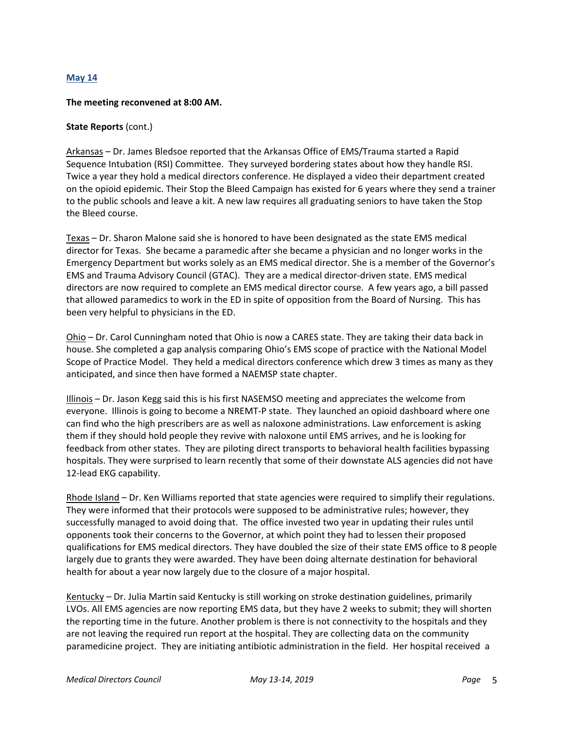### **May 14**

#### **The meeting reconvened at 8:00 AM.**

### **State Reports** (cont.)

Arkansas – Dr. James Bledsoe reported that the Arkansas Office of EMS/Trauma started a Rapid Sequence Intubation (RSI) Committee. They surveyed bordering states about how they handle RSI. Twice a year they hold a medical directors conference. He displayed a video their department created on the opioid epidemic. Their Stop the Bleed Campaign has existed for 6 years where they send a trainer to the public schools and leave a kit. A new law requires all graduating seniors to have taken the Stop the Bleed course.

Texas – Dr. Sharon Malone said she is honored to have been designated as the state EMS medical director for Texas. She became a paramedic after she became a physician and no longer works in the Emergency Department but works solely as an EMS medical director. She is a member of the Governor's EMS and Trauma Advisory Council (GTAC). They are a medical director-driven state. EMS medical directors are now required to complete an EMS medical director course. A few years ago, a bill passed that allowed paramedics to work in the ED in spite of opposition from the Board of Nursing. This has been very helpful to physicians in the ED.

Ohio – Dr. Carol Cunningham noted that Ohio is now a CARES state. They are taking their data back in house. She completed a gap analysis comparing Ohio's EMS scope of practice with the National Model Scope of Practice Model. They held a medical directors conference which drew 3 times as many as they anticipated, and since then have formed a NAEMSP state chapter.

Illinois – Dr. Jason Kegg said this is his first NASEMSO meeting and appreciates the welcome from everyone. Illinois is going to become a NREMT-P state. They launched an opioid dashboard where one can find who the high prescribers are as well as naloxone administrations. Law enforcement is asking them if they should hold people they revive with naloxone until EMS arrives, and he is looking for feedback from other states. They are piloting direct transports to behavioral health facilities bypassing hospitals. They were surprised to learn recently that some of their downstate ALS agencies did not have 12-lead EKG capability.

Rhode Island – Dr. Ken Williams reported that state agencies were required to simplify their regulations. They were informed that their protocols were supposed to be administrative rules; however, they successfully managed to avoid doing that. The office invested two year in updating their rules until opponents took their concerns to the Governor, at which point they had to lessen their proposed qualifications for EMS medical directors. They have doubled the size of their state EMS office to 8 people largely due to grants they were awarded. They have been doing alternate destination for behavioral health for about a year now largely due to the closure of a major hospital.

Kentucky – Dr. Julia Martin said Kentucky is still working on stroke destination guidelines, primarily LVOs. All EMS agencies are now reporting EMS data, but they have 2 weeks to submit; they will shorten the reporting time in the future. Another problem is there is not connectivity to the hospitals and they are not leaving the required run report at the hospital. They are collecting data on the community paramedicine project. They are initiating antibiotic administration in the field. Her hospital received a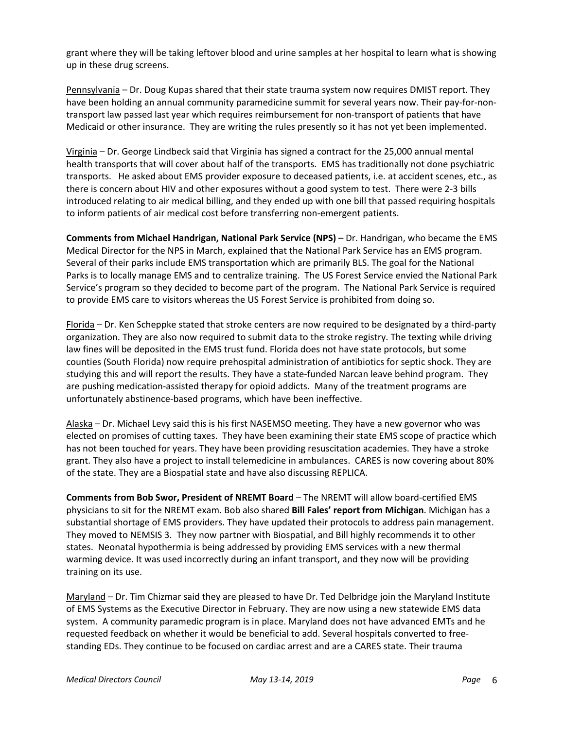grant where they will be taking leftover blood and urine samples at her hospital to learn what is showing up in these drug screens.

Pennsylvania – Dr. Doug Kupas shared that their state trauma system now requires DMIST report. They have been holding an annual community paramedicine summit for several years now. Their pay-for-nontransport law passed last year which requires reimbursement for non-transport of patients that have Medicaid or other insurance. They are writing the rules presently so it has not yet been implemented.

Virginia – Dr. George Lindbeck said that Virginia has signed a contract for the 25,000 annual mental health transports that will cover about half of the transports. EMS has traditionally not done psychiatric transports. He asked about EMS provider exposure to deceased patients, i.e. at accident scenes, etc., as there is concern about HIV and other exposures without a good system to test. There were 2-3 bills introduced relating to air medical billing, and they ended up with one bill that passed requiring hospitals to inform patients of air medical cost before transferring non-emergent patients.

**Comments from Michael Handrigan, National Park Service (NPS)** – Dr. Handrigan, who became the EMS Medical Director for the NPS in March, explained that the National Park Service has an EMS program. Several of their parks include EMS transportation which are primarily BLS. The goal for the National Parks is to locally manage EMS and to centralize training. The US Forest Service envied the National Park Service's program so they decided to become part of the program. The National Park Service is required to provide EMS care to visitors whereas the US Forest Service is prohibited from doing so.

Florida – Dr. Ken Scheppke stated that stroke centers are now required to be designated by a third-party organization. They are also now required to submit data to the stroke registry. The texting while driving law fines will be deposited in the EMS trust fund. Florida does not have state protocols, but some counties (South Florida) now require prehospital administration of antibiotics for septic shock. They are studying this and will report the results. They have a state-funded Narcan leave behind program. They are pushing medication-assisted therapy for opioid addicts. Many of the treatment programs are unfortunately abstinence-based programs, which have been ineffective.

Alaska – Dr. Michael Levy said this is his first NASEMSO meeting. They have a new governor who was elected on promises of cutting taxes. They have been examining their state EMS scope of practice which has not been touched for years. They have been providing resuscitation academies. They have a stroke grant. They also have a project to install telemedicine in ambulances. CARES is now covering about 80% of the state. They are a Biospatial state and have also discussing REPLICA.

**Comments from Bob Swor, President of NREMT Board** – The NREMT will allow board-certified EMS physicians to sit for the NREMT exam. Bob also shared **Bill Fales' report from Michigan**. Michigan has a substantial shortage of EMS providers. They have updated their protocols to address pain management. They moved to NEMSIS 3. They now partner with Biospatial, and Bill highly recommends it to other states. Neonatal hypothermia is being addressed by providing EMS services with a new thermal warming device. It was used incorrectly during an infant transport, and they now will be providing training on its use.

Maryland – Dr. Tim Chizmar said they are pleased to have Dr. Ted Delbridge join the Maryland Institute of EMS Systems as the Executive Director in February. They are now using a new statewide EMS data system. A community paramedic program is in place. Maryland does not have advanced EMTs and he requested feedback on whether it would be beneficial to add. Several hospitals converted to freestanding EDs. They continue to be focused on cardiac arrest and are a CARES state. Their trauma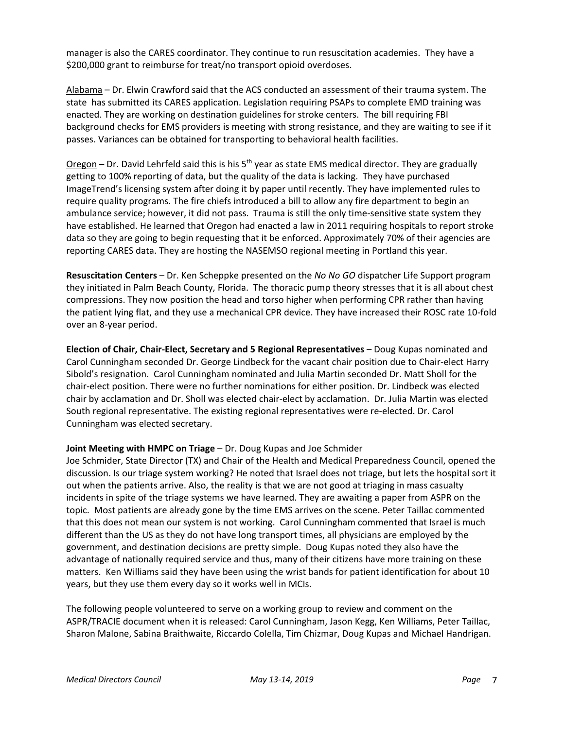manager is also the CARES coordinator. They continue to run resuscitation academies. They have a \$200,000 grant to reimburse for treat/no transport opioid overdoses.

Alabama – Dr. Elwin Crawford said that the ACS conducted an assessment of their trauma system. The state has submitted its CARES application. Legislation requiring PSAPs to complete EMD training was enacted. They are working on destination guidelines for stroke centers. The bill requiring FBI background checks for EMS providers is meeting with strong resistance, and they are waiting to see if it passes. Variances can be obtained for transporting to behavioral health facilities.

Oregon – Dr. David Lehrfeld said this is his  $5<sup>th</sup>$  year as state EMS medical director. They are gradually getting to 100% reporting of data, but the quality of the data is lacking. They have purchased ImageTrend's licensing system after doing it by paper until recently. They have implemented rules to require quality programs. The fire chiefs introduced a bill to allow any fire department to begin an ambulance service; however, it did not pass. Trauma is still the only time-sensitive state system they have established. He learned that Oregon had enacted a law in 2011 requiring hospitals to report stroke data so they are going to begin requesting that it be enforced. Approximately 70% of their agencies are reporting CARES data. They are hosting the NASEMSO regional meeting in Portland this year.

**Resuscitation Centers** – Dr. Ken Scheppke presented on the *No No GO* dispatcher Life Support program they initiated in Palm Beach County, Florida. The thoracic pump theory stresses that it is all about chest compressions. They now position the head and torso higher when performing CPR rather than having the patient lying flat, and they use a mechanical CPR device. They have increased their ROSC rate 10-fold over an 8-year period.

**Election of Chair, Chair-Elect, Secretary and 5 Regional Representatives** – Doug Kupas nominated and Carol Cunningham seconded Dr. George Lindbeck for the vacant chair position due to Chair-elect Harry Sibold's resignation. Carol Cunningham nominated and Julia Martin seconded Dr. Matt Sholl for the chair-elect position. There were no further nominations for either position. Dr. Lindbeck was elected chair by acclamation and Dr. Sholl was elected chair-elect by acclamation. Dr. Julia Martin was elected South regional representative. The existing regional representatives were re-elected. Dr. Carol Cunningham was elected secretary.

## **Joint Meeting with HMPC on Triage** – Dr. Doug Kupas and Joe Schmider

Joe Schmider, State Director (TX) and Chair of the Health and Medical Preparedness Council, opened the discussion. Is our triage system working? He noted that Israel does not triage, but lets the hospital sort it out when the patients arrive. Also, the reality is that we are not good at triaging in mass casualty incidents in spite of the triage systems we have learned. They are awaiting a paper from ASPR on the topic. Most patients are already gone by the time EMS arrives on the scene. Peter Taillac commented that this does not mean our system is not working. Carol Cunningham commented that Israel is much different than the US as they do not have long transport times, all physicians are employed by the government, and destination decisions are pretty simple. Doug Kupas noted they also have the advantage of nationally required service and thus, many of their citizens have more training on these matters. Ken Williams said they have been using the wrist bands for patient identification for about 10 years, but they use them every day so it works well in MCIs.

The following people volunteered to serve on a working group to review and comment on the ASPR/TRACIE document when it is released: Carol Cunningham, Jason Kegg, Ken Williams, Peter Taillac, Sharon Malone, Sabina Braithwaite, Riccardo Colella, Tim Chizmar, Doug Kupas and Michael Handrigan.